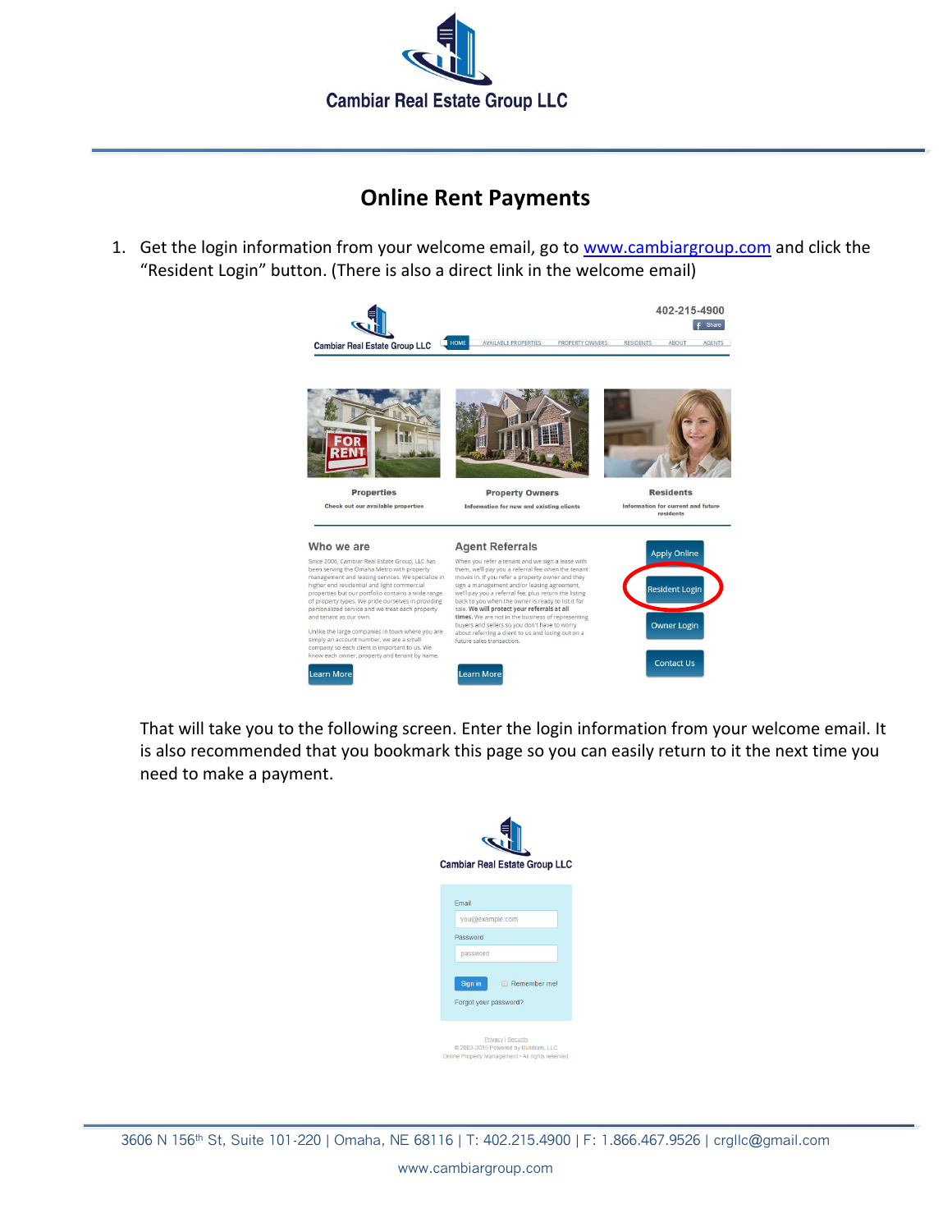

## **Online Rent Payments**

1. Get the login information from your welcome email, go to [www.cambiargroup.com](file:///C:/Documents%20and%20Settings/Timothy/My%20Documents/Business%20Docs/CAMBIAR%20Real%20Estate%20Group%20LLC/www.cambiargroup.com) and click the "Resident Login" button. (There is also a direct link in the welcome email)



That will take you to the following screen. Enter the login information from your welcome email. It is also recommended that you bookmark this page so you can easily return to it the next time you need to make a payment.